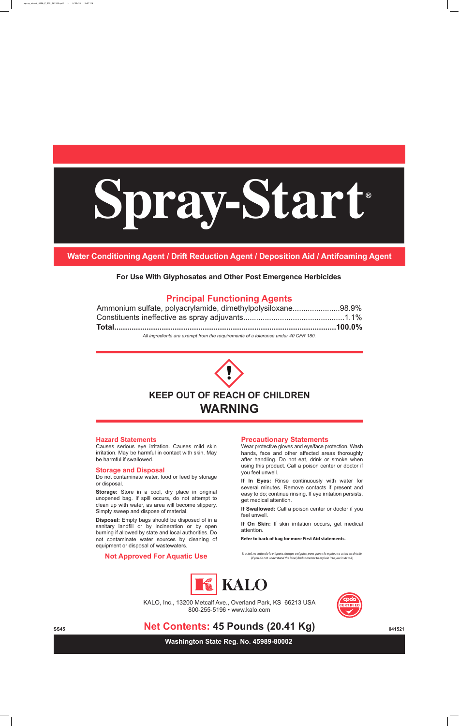**Principal Functioning Agents**

| Ammonium sulfate, polyacrylamide, dimethylpolysiloxane98.9%                             |  |
|-----------------------------------------------------------------------------------------|--|
|                                                                                         |  |
|                                                                                         |  |
| All incurred in the current from the use with property of a tolerance worky 40 OED 400. |  |

*All ingredients are exempt from the requirements of a tolerance under 40 CFR 180.*

**Washington State Reg. No. 45989-80002**





KALO, Inc., 13200 Metcalf Ave., Overland Park, KS 66213 USA

800-255-5196 • www.kalo.com



## **Net Contents: 45 Pounds (20.41 Kg)**  $_{041521}$

#### **Storage and Disposal**

# **Spray-Start ®**

Do not contaminate water, food or feed by storage or disposal.

**Storage:** Store in a cool, dry place in original unopened bag. If spill occurs, do not attempt to clean up with water, as area will become slippery. Simply sweep and dispose of material.

**Disposal:** Empty bags should be disposed of in a sanitary landfill or by incineration or by open burning if allowed by state and local authorities. Do not contaminate water sources by cleaning of equipment or disposal of wastewaters.

**Water Conditioning Agent / Drift Reduction Agent / Deposition Aid / Antifoaming Agent**

**For Use With Glyphosates and Other Post Emergence Herbicides**

#### **Not Approved For Aquatic Use**

**Refer to back of bag for more First Aid statements.**

*Si usted no entiende la etiqueta, busque a alguien para que se la explique a usted en detalle. (If you do not understand the label, nd someone to explain it to you in detail.)*





#### **Hazard Statements**

Causes serious eye irritation. Causes mild skin irritation. May be harmful in contact with skin. May be harmful if swallowed.

#### **Precautionary Statements**

Wear protective gloves and eye/face protection. Wash hands, face and other affected areas thoroughly after handling. Do not eat, drink or smoke when using this product. Call a poison center or doctor if you feel unwell.

**If In Eyes:** Rinse continuously with water for several minutes. Remove contacts if present and easy to do; continue rinsing. If eye irritation persists, get medical attention.

**If Swallowed:** Call a poison center or doctor if you feel unwell.

**If On Skin:** If skin irritation occurs**,** get medical attention.

spray\_start\_45lb\_F\_032\_041521.pdf 1 6/23/21 3:07 PM